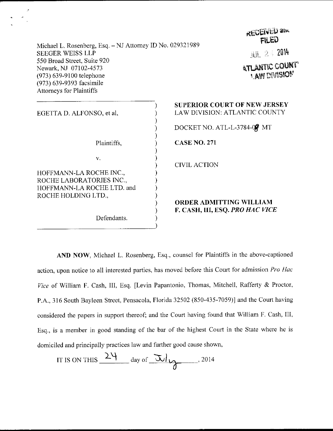| Michael L. Rosenberg, Esq. - NJ Attorney ID No. 029321989                                                                                       | <b>IFFIRM</b><br>FILED                                                      |  |
|-------------------------------------------------------------------------------------------------------------------------------------------------|-----------------------------------------------------------------------------|--|
| <b>SEEGER WEISS LLP</b>                                                                                                                         | <b>JUL 24 2014</b>                                                          |  |
| 550 Broad Street, Suite 920<br>Newark, NJ 07102-4573<br>(973) 639-9100 telephone<br>(973) 639-9393 facsimile<br><b>Attorneys for Plaintiffs</b> | <b>ATLANTIC COUNT</b><br><b>I AW DIVISION</b>                               |  |
| EGETTA D. ALFONSO, et al,                                                                                                                       | <b>SUPERIOR COURT OF NEW JERSEY</b><br><b>LAW DIVISION: ATLANTIC COUNTY</b> |  |
|                                                                                                                                                 | DOCKET NO. ATL-L-3784-09 MT                                                 |  |
| Plaintiffs,                                                                                                                                     | <b>CASE NO. 271</b>                                                         |  |
| $V_{\star}$<br>HOFFMANN-LA ROCHE INC.,<br>ROCHE LABORATORIES INC.,                                                                              | <b>CIVIL ACTION</b>                                                         |  |
| HOFFMANN-LA ROCHE LTD. and<br>ROCHE HOLDING LTD.,                                                                                               | <b>ORDER ADMITTING WILLIAM</b>                                              |  |
| Defendants.                                                                                                                                     | F. CASH, III, ESQ. PRO HAC VICE                                             |  |

**ALCENTED am** 

 $\mathcal{L}$ 

AND NOW, Michael L. Rosenberg, Esq., counsel for Plaintiffs in the above-captioned action, upon notice to all interested parties, has moved before this Court for admission Pro Hac Vice of William F. Cash, III, Esq. [Levin Papantonio, Thomas, Mitchell, Rafferty & Proctor, P.A., 316 South Bayleen Street, Pensacola, Florida 32502 (850-435-7059)] and the Court having considered the papers in support thereof; and the Court having found that William F. Cash, III, Esq., is a member in good standing of the bar of the highest Court in the State where he is domiciled and principally practices law and further good cause shown,

IT IS ON THIS 
$$
\frac{24}{\text{ day of } 3014}
$$
, 2014